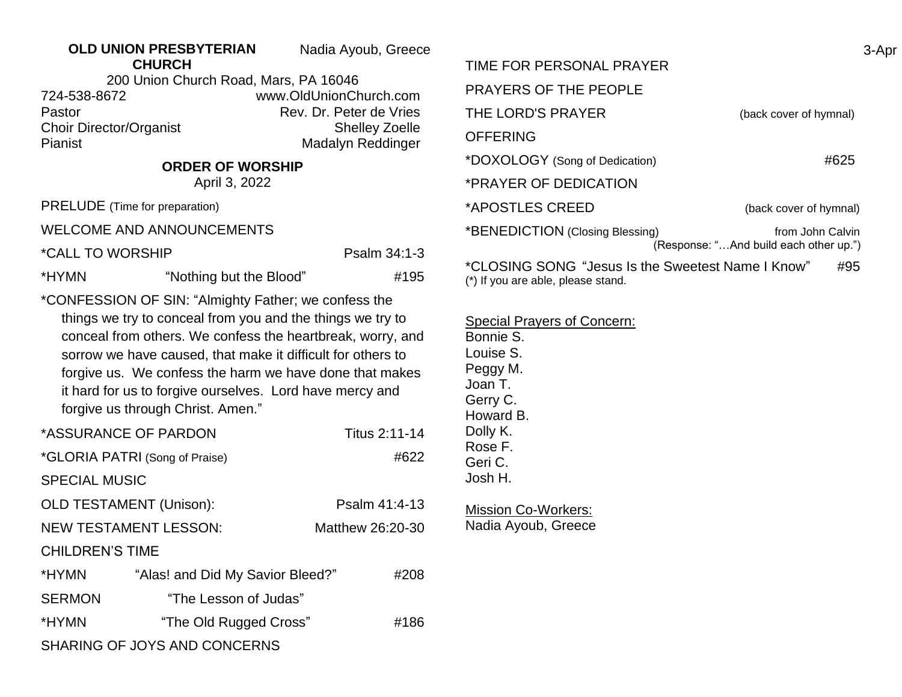## **OLD UNION PRESBYTERIAN CHURCH**

Nadia Ayoub, Greece 3-Apr

200 Union Church Road, Mars, PA 16046 724-538-8672 www.OldUnionChurch.com Pastor **Pastor** Rev. Dr. Peter de Vries Choir Director/Organist Shelley Zoelle Pianist Madalyn Reddinger

## **ORDER OF WORSHIP**

April 3, 2022

PRELUDE (Time for preparation)

WELCOME AND ANNOUNCEMENTS

\*CALL TO WORSHIP Psalm 34:1-3

\*HYMN "Nothing but the Blood" #195

\*CONFESSION OF SIN: "Almighty Father; we confess the things we try to conceal from you and the things we try to conceal from others. We confess the heartbreak, worry, and sorrow we have caused, that make it difficult for others to forgive us. We confess the harm we have done that makes it hard for us to forgive ourselves. Lord have mercy and forgive us through Christ. Amen."

| *ASSURANCE OF PARDON                |                                  | Titus 2:11-14    |  |
|-------------------------------------|----------------------------------|------------------|--|
| *GLORIA PATRI (Song of Praise)      |                                  | #622             |  |
| <b>SPECIAL MUSIC</b>                |                                  |                  |  |
| <b>OLD TESTAMENT (Unison):</b>      |                                  | Psalm 41:4-13    |  |
| <b>NEW TESTAMENT LESSON:</b>        |                                  | Matthew 26:20-30 |  |
| <b>CHILDREN'S TIME</b>              |                                  |                  |  |
| *HYMN                               | "Alas! and Did My Savior Bleed?" | #208             |  |
| <b>SERMON</b>                       | "The Lesson of Judas"            |                  |  |
| *HYMN                               | "The Old Rugged Cross"           | #186             |  |
| <b>SHARING OF JOYS AND CONCERNS</b> |                                  |                  |  |

| TIME FOR PERSONAL PRAYER                                 |                                                            |  |
|----------------------------------------------------------|------------------------------------------------------------|--|
| <b>PRAYERS OF THE PEOPLE</b>                             |                                                            |  |
| THE LORD'S PRAYER                                        | (back cover of hymnal)                                     |  |
| <b>OFFERING</b>                                          |                                                            |  |
| *DOXOLOGY (Song of Dedication)                           | #625                                                       |  |
| *PRAYER OF DEDICATION                                    |                                                            |  |
| *APOSTLES CREED                                          | (back cover of hymnal)                                     |  |
| *BENEDICTION (Closing Blessing)                          | from John Calvin<br>(Response: "And build each other up.") |  |
| *CLOSING SONG "Jesus Is the Sweetest Name I Know"<br>#95 |                                                            |  |

(\*) If you are able, please stand.

Special Prayers of Concern:

Bonnie S. Louise S. Peggy M. Joan T. Gerry C. Howard B. Dolly K. Rose F. Geri C. Josh H.

Mission Co-Workers: Nadia Ayoub, Greece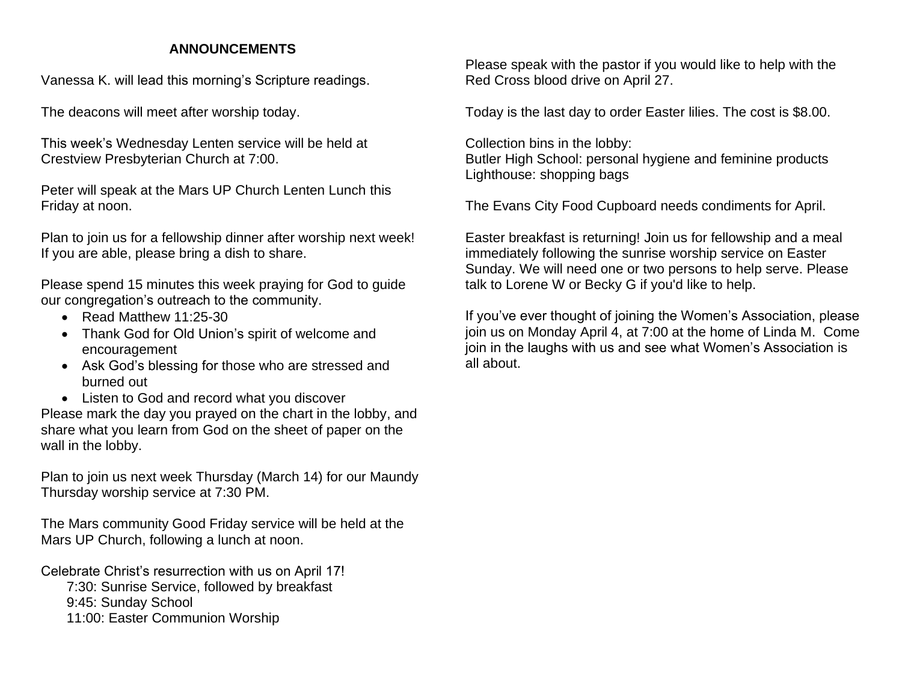## **ANNOUNCEMENTS**

Vanessa K. will lead this morning's Scripture readings.

The deacons will meet after worship today.

This week's Wednesday Lenten service will be held at Crestview Presbyterian Church at 7:00.

Peter will speak at the Mars UP Church Lenten Lunch this Friday at noon.

Plan to join us for a fellowship dinner after worship next week! If you are able, please bring a dish to share.

Please spend 15 minutes this week praying for God to guide our congregation's outreach to the community.

- Read Matthew 11:25-30
- Thank God for Old Union's spirit of welcome and encouragement
- Ask God's blessing for those who are stressed and burned out
- Listen to God and record what you discover

Please mark the day you prayed on the chart in the lobby, and share what you learn from God on the sheet of paper on the wall in the lobby.

Plan to join us next week Thursday (March 14) for our Maundy Thursday worship service at 7:30 PM.

The Mars community Good Friday service will be held at the Mars UP Church, following a lunch at noon.

Celebrate Christ's resurrection with us on April 17! 7:30: Sunrise Service, followed by breakfast 9:45: Sunday School 11:00: Easter Communion Worship

Please speak with the pastor if you would like to help with the Red Cross blood drive on April 27.

Today is the last day to order Easter lilies. The cost is \$8.00.

Collection bins in the lobby: Butler High School: personal hygiene and feminine products Lighthouse: shopping bags

The Evans City Food Cupboard needs condiments for April.

Easter breakfast is returning! Join us for fellowship and a meal immediately following the sunrise worship service on Easter Sunday. We will need one or two persons to help serve. Please talk to Lorene W or Becky G if you'd like to help.

If you've ever thought of joining the Women's Association, please join us on Monday April 4, at 7:00 at the home of Linda M. Come join in the laughs with us and see what Women's Association is all about.